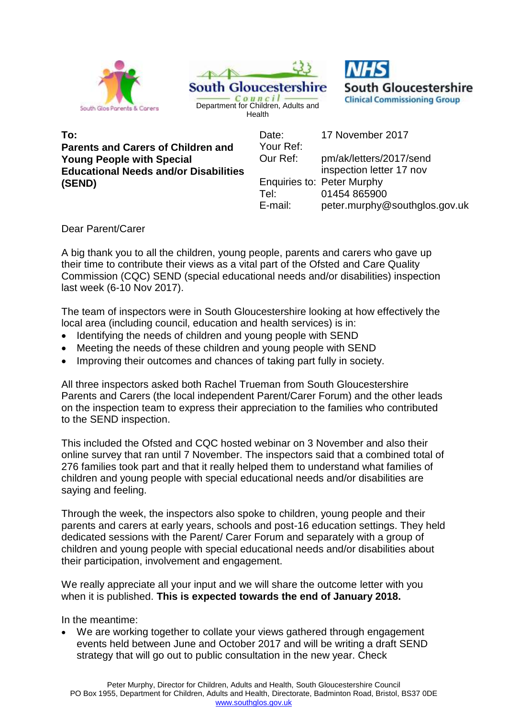





**To: Parents and Carers of Children and Young People with Special Educational Needs and/or Disabilities (SEND)** 

Date: 17 November 2017 Your Ref: Our Ref: pm/ak/letters/2017/send inspection letter 17 nov Enquiries to: Peter Murphy Tel: 01454 865900 E-mail: peter.murphy@southglos.gov.uk

Dear Parent/Carer

A big thank you to all the children, young people, parents and carers who gave up their time to contribute their views as a vital part of the Ofsted and Care Quality Commission (CQC) SEND (special educational needs and/or disabilities) inspection last week (6-10 Nov 2017).

The team of inspectors were in South Gloucestershire looking at how effectively the local area (including council, education and health services) is in:

- Identifying the needs of children and young people with SEND
- Meeting the needs of these children and young people with SEND
- Improving their outcomes and chances of taking part fully in society.

All three inspectors asked both Rachel Trueman from South Gloucestershire Parents and Carers (the local independent Parent/Carer Forum) and the other leads on the inspection team to express their appreciation to the families who contributed to the SEND inspection.

This included the Ofsted and CQC hosted webinar on 3 November and also their online survey that ran until 7 November. The inspectors said that a combined total of 276 families took part and that it really helped them to understand what families of children and young people with special educational needs and/or disabilities are saying and feeling.

Through the week, the inspectors also spoke to children, young people and their parents and carers at early years, schools and post-16 education settings. They held dedicated sessions with the Parent/ Carer Forum and separately with a group of children and young people with special educational needs and/or disabilities about their participation, involvement and engagement.

We really appreciate all your input and we will share the outcome letter with you when it is published. **This is expected towards the end of January 2018.**

In the meantime:

We are working together to collate your views gathered through engagement events held between June and October 2017 and will be writing a draft SEND strategy that will go out to public consultation in the new year. Check